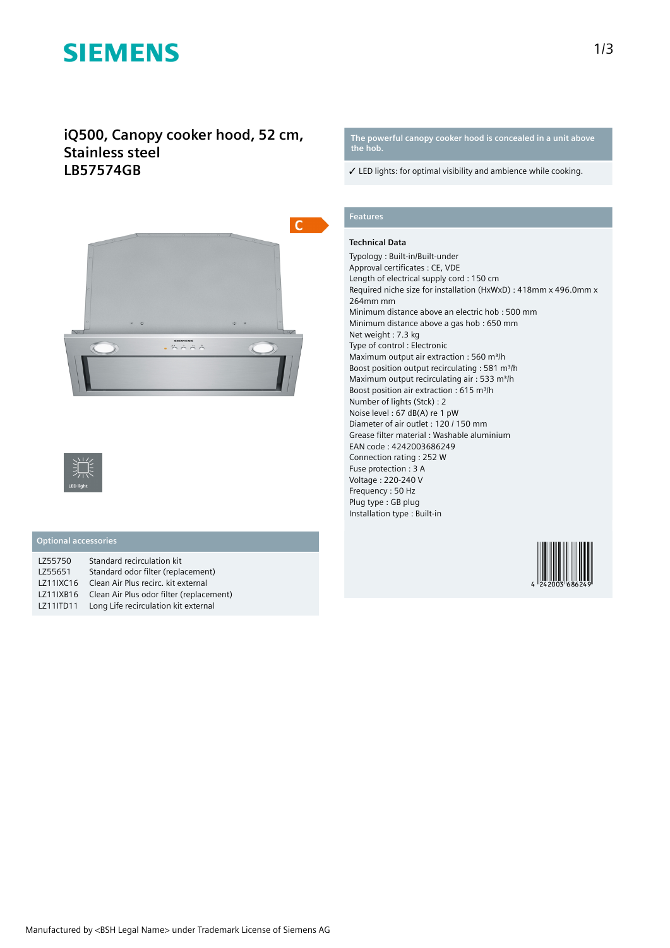# **SIEMENS**

## **iQ500, Canopy cooker hood, 52 cm, Stainless steel LB57574GB**





## **Optional accessories**

| LZ55750   | Standard recirculation kit               |
|-----------|------------------------------------------|
| LZ55651   | Standard odor filter (replacement)       |
| LZ11IXC16 | Clean Air Plus recirc, kit external      |
| LZ11IXB16 | Clean Air Plus odor filter (replacement) |
| LZ11ITD11 | Long Life recirculation kit external     |
|           |                                          |

#### **The powerful canopy cooker hood is concealed in a unit above the hob.**

 $\checkmark$  LED lights: for optimal visibility and ambience while cooking.

## **Features**

### **Technical Data**

Typology : Built-in/Built-under Approval certificates : CE, VDE Length of electrical supply cord : 150 cm Required niche size for installation (HxWxD) : 418mm x 496.0mm x 264mm mm Minimum distance above an electric hob : 500 mm Minimum distance above a gas hob : 650 mm Net weight : 7.3 kg Type of control : Electronic Maximum output air extraction : 560 m<sup>3</sup>/h Boost position output recirculating : 581 m<sup>3</sup>/h Maximum output recirculating air : 533 m<sup>3</sup>/h Boost position air extraction : 615 m<sup>3</sup>/h Number of lights (Stck) : 2 Noise level : 67 dB(A) re 1 pW Diameter of air outlet : 120 / 150 mm Grease filter material : Washable aluminium EAN code : 4242003686249 Connection rating : 252 W Fuse protection : 3 A Voltage : 220-240 V Frequency : 50 Hz Plug type : GB plug Installation type : Built-in

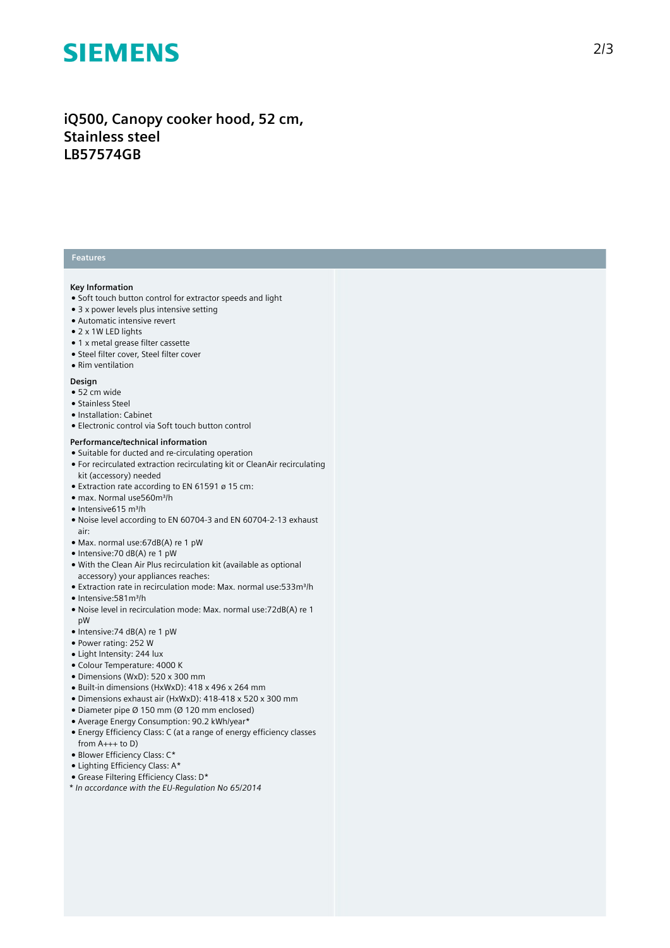## **SIEMENS**

## iQ500, Canopy cooker hood, 52 cm, **S t a i n l e s s s t e e l LB57574GB**

## **Features**

### **Key Information**

- Soft touch button control for extractor speeds and light
- $\bullet$  3 x power levels plus intensive setting
- Automatic intensive revert
- 2 x 1W LED lights
- 1 x metal grease filter cassette
- Steel filter cover, Steel filter cover
- Rim ventilation

#### **Design**

- 52 cm wide
- Stainless Ste el
- Installation: Cabinet
- Electronic control via Soft touch button control

### **Performance/technical information**

- Suitable for ducted and re-circulating operation
- $\bullet$  For recirculated extraction recirculating kit or CleanAir recirculating kit (accessory) needed
- $\bullet$  Extraction rate according to EN 61591 ø 15 cm:
- max. Normal use560m³/h
- Intensive615 m³/h
- Noise level according to EN 60704-3 and EN 60704-2-13 exhaust a i r :
- Max. normal use:67dB(A) re 1 pW
- Intensive:70 dB(A) re 1 pW
- With the Clean Air Plus recirculation kit (available as optional accessory) your appliances reaches:
- Extraction rate in recirculation mode: Max. normal use:533m<sup>3</sup>/h
- Intensive: 581 m<sup>3</sup>/h
- Noise level in recirculation mode: Max. normal use:72dB(A) re 1 pW
- Intensive:74 dB(A) re 1 pW
- Power rating: 252 W
- $\bullet$  Light Intensity: 244 lux
- Colour Temperature: 4000 K
- Dimensions (WxD): 520 x 300 mm
- Built-in dimensions (HxWxD): 418 x 496 x 264 mm
- Dimensions exhaust air (HxWxD): 418-418 x 520 x 300 mm
- Diameter pipe Ø 150 mm (Ø 120 mm enclosed)
- Average Energy Consumption: 90.2 kWh/year\*
- $\bullet$  Energy Efficiency Class: C (at a range of energy efficiency classes from  $A_{+++}$  to D)
- Blower Efficiency Class: C\*
- Lighting Efficiency Class: A\*
- Grease Filtering Efficiency Class: D\*
- *\* In accordance with the EU-Regulation No 65/2014*